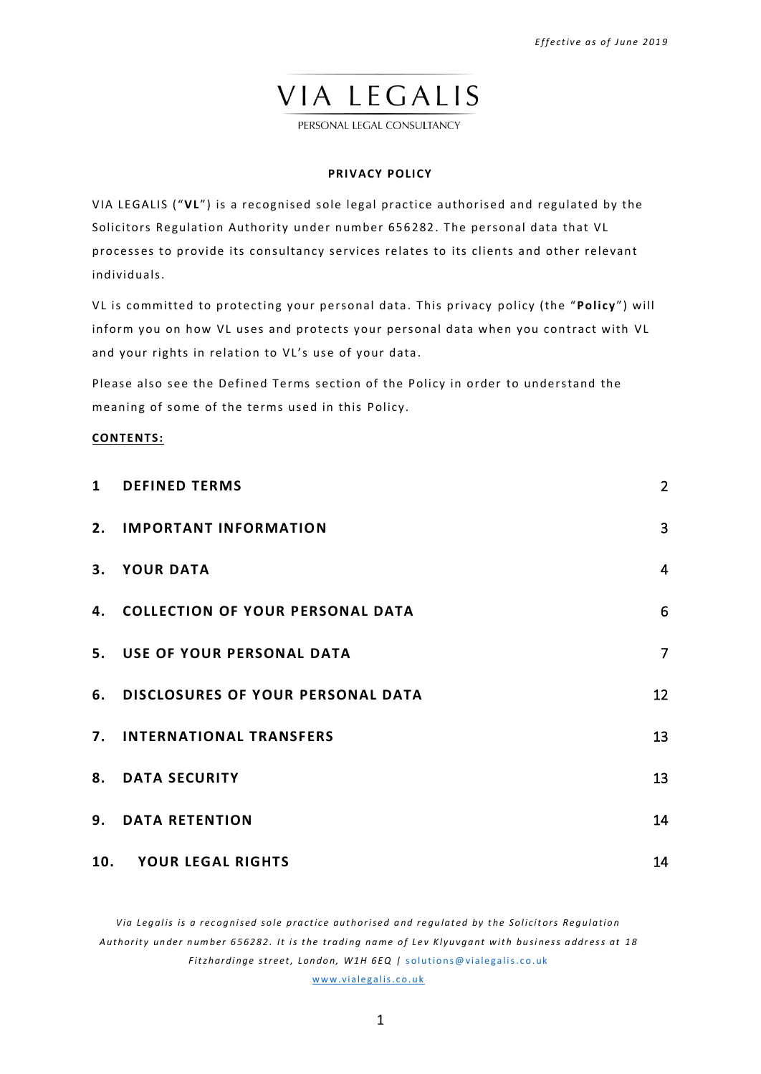PERSONAL LEGAL CONSULTANCY

## **PRIVACY POLICY**

VIA LEGALIS ("**VL**") is a recognised sole legal practice authorised and regulated by the Solicitors Regulation Authority under number 656282. The personal data that VL processes to provide its consultancy services relates to its clients and other relevant individuals.

VL is committed to protecting your personal data. This privacy policy (the "Policy") will inform you on how VL uses and protects your personal data when you contract with VL and your rights in relation to VL's use of your data.

Please also see the Defined Terms section of the Policy in order to understand the meaning of some of the terms used in this Policy.

## **CONTENTS:**

| $\mathbf{1}$ | <b>DEFINED TERMS</b>                 | $\overline{2}$ |
|--------------|--------------------------------------|----------------|
|              | 2. IMPORTANT INFORMATION             | $\overline{3}$ |
|              | 3. YOUR DATA                         | $\overline{4}$ |
|              | 4. COLLECTION OF YOUR PERSONAL DATA  | 6              |
|              | 5. USE OF YOUR PERSONAL DATA         | $\overline{7}$ |
|              | 6. DISCLOSURES OF YOUR PERSONAL DATA | 12             |
|              | 7. INTERNATIONAL TRANSFERS           | 13             |
|              | <b>8. DATA SECURITY</b>              | 13             |
|              | 9. DATA RETENTION                    | 14             |
|              | 10. YOUR LEGAL RIGHTS                | 14             |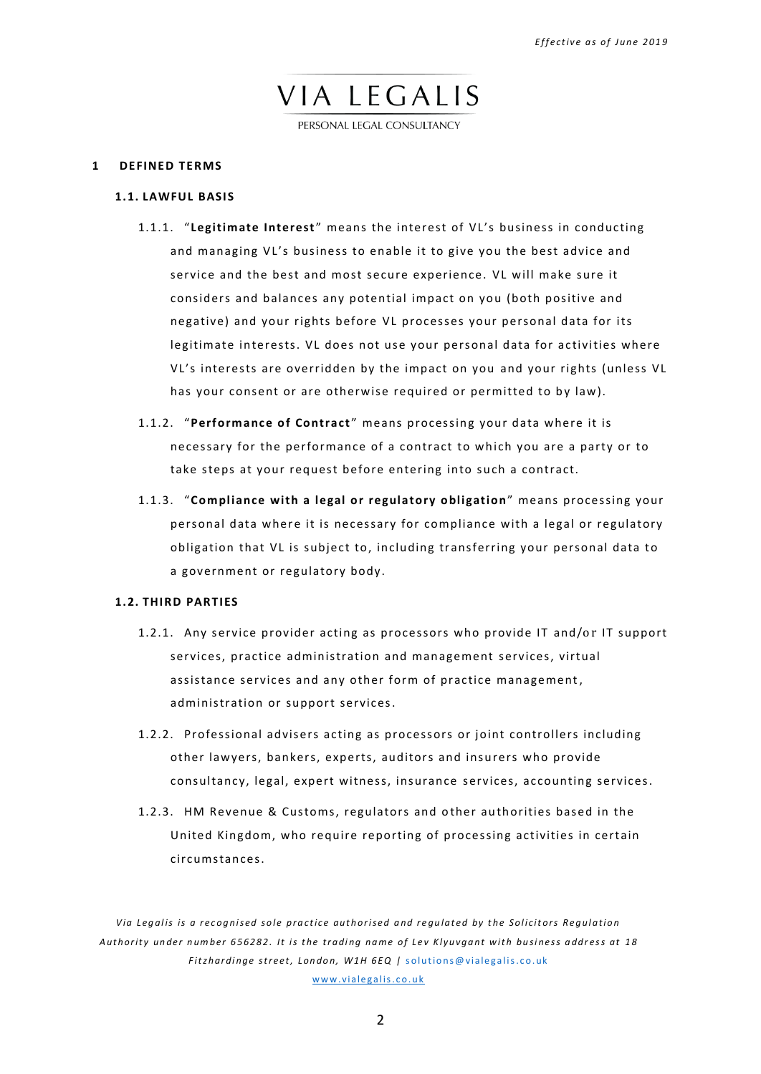PERSONAL LEGAL CONSULTANCY

### <span id="page-1-0"></span>**1 DEFINED TERMS**

### **1.1. LAWFUL BASIS**

- 1.1.1. " **Legitimate Interest** " means the interest of VL's business in conducting and managing VL's business to enable it to give you the best advice and service and the best and most secure experience. VL will make sure it considers and balances any potential impact on you (both positive and negative) and your rights before VL processes your personal data for its legitimate interests. VL does not use your personal data for activities where VL's interests are overridden by the impact on you and your rights (unless VL has your consent or are otherwise required or permitted to by law).
- 1.1.2. "**Performance of Contract** " means processing your data where it is necessary for the performance of a contract to which you are a party or to take steps at your request before entering into such a contract.
- 1.1.3. "**Compliance with a legal or regulatory obligation**" means processing your personal data where it is necessary for compliance with a legal or regulatory obligation that VL is subject to, including transferring your personal data to a government or regulatory body.

## <span id="page-1-1"></span>**1.2. THIRD PARTIES**

- 1.2.1. Any service provider acting as processors who provide IT and/or IT support services, practice administration and management services, virtual assistance services and any other form of practice management, administration or support services.
- 1.2.2. Professional advisers acting as processors or joint controllers including other lawyers, bankers, experts, auditors and insurers who provide consultancy, legal, expert witness, insurance services, accounting services.
- 1.2.3. HM Revenue & Customs, regulators and other authorities based in the United Kingdom, who require reporting of processing activities in certain circumstances.

*V i a Le g al i s i s a r e c og ni se d so l e pr a c t i c e aut h or i se d a nd r e gu l at e d by t he Sol i c i t or s Re g ul at i o n* Authority under number 656282. It is the trading name of Lev Klyuvgant with business address at 18 *Fitzhardinge street, London, W1H 6EQ | solutions@vialegalis.co.uk* www.vialegalis.co.uk

2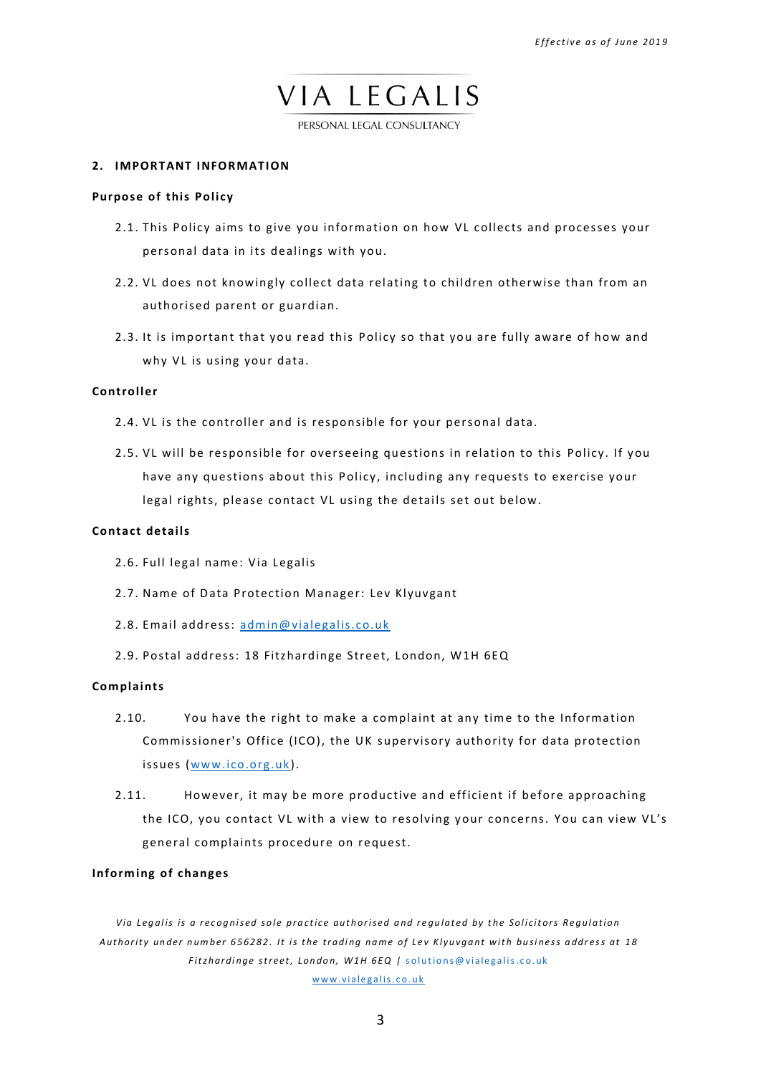PERSONAL LEGAL CONSULTANCY

### <span id="page-2-0"></span>**2. IMPORTANT INFORMATION**

## **Purpose of this Policy**

- 2.1. This Policy aims to give you information on how VL collects and processes your personal data in its dealings with you.
- 2.2. VL does not knowingly collect data relating to children otherwise than from an authorised parent or guardian.
- 2.3. It is important that you read this Policy so that you are fully aware of how and why VL is using your data.

## **Controller**

- 2.4. VL is the controller and is responsible for your personal data.
- 2.5. VL will be responsible for overseeing questions in relation to this Policy. If you have any questions about this Policy, including any requests to exercise your legal rights, please contact VL using the details set out below.

## **Contact details**

- 2.6. Full legal name: Via Legalis
- 2.7. Name of Data Protection Manager: Lev Klyuvgant
- 2.8. Email address: [admin@vialegalis.co.uk](mailto:admin@vialegalis.co.uk)
- 2.9. Postal address: 18 Fitzhardinge Street, London, W1H 6EQ

## **Complaints**

- 2.10. You have the right to make a complaint at any time to the Information Commissioner's Office (ICO), the UK supervisory authority for data protection issues [\(www.ico.org.uk\)](http://www.ico.org.uk/).
- 2.11. However, it may be more productive and efficient if before approaching the ICO, you contact VL with a view to resolving your concerns. You can view VL's general complaints procedure on request.

## **Informing of changes**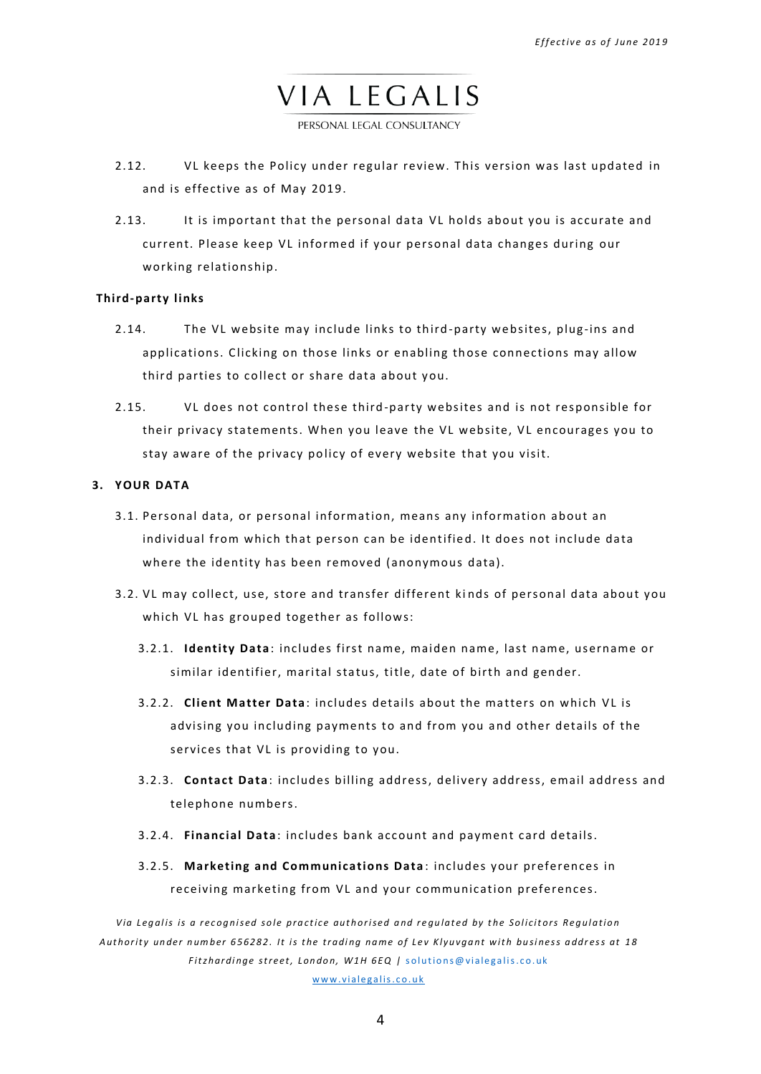PERSONAL LEGAL CONSULTANCY

- 2.12. VL keeps the Policy under regular review. This version was last updated in and is effective as of May 2019.
- 2.13. It is important that the personal data VL holds about you is accurate and current. Please keep VL informed if your personal data changes during our working relationship.

### **Third-party links**

- 2.14. The VL website may include links to third-party websites, plug-ins and applications. Clicking on those links or enabling those connections may allow third parties to collect or share data about you.
- 2.15. VL does not control these third-party websites and is not responsible for their privacy statements. When you leave the VL website, VL encourages you to stay aware of the privacy policy of every website that you visit.

## <span id="page-3-0"></span>**3. YOUR DATA**

- 3.1. Personal data, or personal information, means any information about an individual from which that person can be identified. It does not include data where the identity has been removed (anonymous data).
- 3.2. VL may collect, use, store and transfer different kinds of personal data about you which VL has grouped together as follows:
	- 3.2.1. **Identity Data**: includes first name, maiden name, last name, username or similar identifier, marital status, title, date of birth and gender.
	- 3.2.2. **Client Matter Data** : includes details about the ma t ters on which VL is advising you including payments to and from you and other details of the services that VL is providing to you.
	- 3.2.3. **Contact Data**: includes billing address, delivery address, email address and telephone numbers.
	- 3.2.4. **Financial Data**: includes bank account and payment card details.
	- 3.2.5. **Marketing and Communications Data** : includes your preferences in receiving marketing from VL and your communication preferences.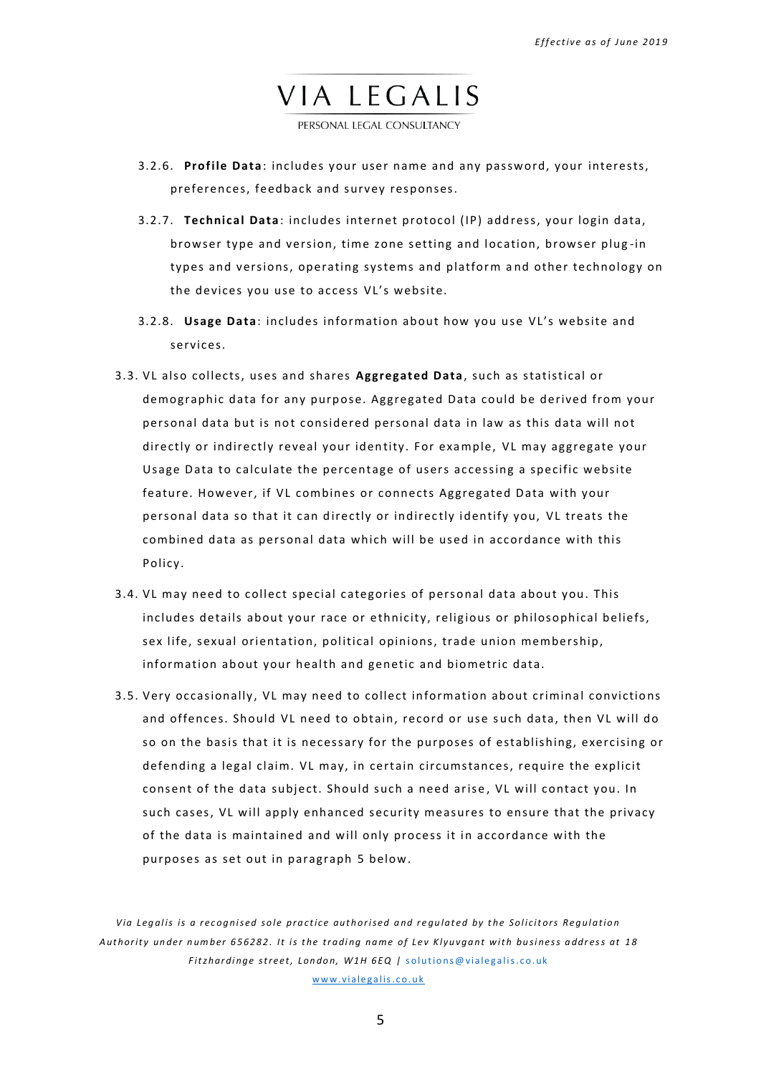PERSONAL LEGAL CONSULTANCY

- 3.2.6. **Profile Data**: includes your user name and any password, your interests, preferences, feedback and survey responses.
- 3.2.7. **Technical Data** : includes internet protocol (IP) add ress, your login data, browser type and version, time zone setting and location, browser plug-in types and versions, operating systems and platform and other technology on the devices you use to access VL's website.
- 3.2.8. **Usage Data**: includes information about how you u se VL's website and services.
- 3.3. VL also collects, uses and shares **Aggregated Data**, such as statistical or demographic data for any purpose. Aggregated Data could be derived from your personal data but is not considered personal data in law as this data will not directly or indirectly reveal your identity. For example, VL may aggregate your Usage Data to calculate the percentage of users accessing a specific website feature. However, if VL combines or connects Aggregated Data with your personal data so that it can directly or indirectly identify you, VL treats the combined data as personal data which will be used in accordance with this Policy.
- <span id="page-4-0"></span>3.4. VL may need to collect special categories of personal data about you. This includes details about your race or ethnicity, religious or philosophical beliefs, sex life, sexual orientation, political opinions, trade union membership, information about your health and genetic and biometric data.
- 3.5. Very occasionally, VL may need to collect information about criminal convictions and offences. Should VL need to obtain, record or use such data, then VL will do so on the basis that it is necessary for the purposes of establishing, exercising or defending a legal claim. VL may, in cert ain circumstances, require the explicit consent of the data subject. Should such a need arise, VL will contact you. In such cases, VL will apply enhanced security measures to ensure that the privacy of the data is maintained and will only process it in accordance with the purposes as set out in paragraph [5](#page-6-0) below.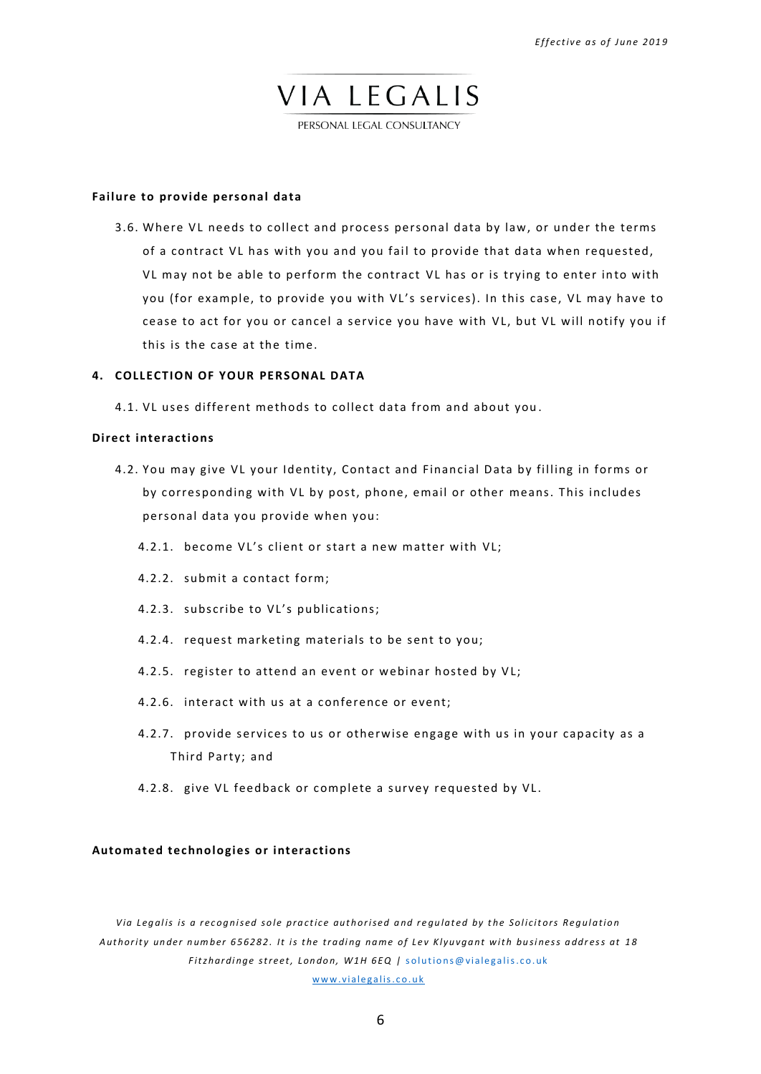PERSONAL LEGAL CONSULTANCY

## **Failure to provide personal data**

3.6. Where VL needs to collect and process personal data by law, or under the terms of a contract VL has with you and you fail to provide that data when requested, VL may not be able to perform the contract VL has or is trying to enter into with you (for example, to provide you with VL's services). In this case, VL may have to cease to act for you or cancel a service you have with VL, but VL will notify you if this is the case at the time.

#### <span id="page-5-0"></span>**4. COLLECTION OF YOUR PERSONAL DATA**

4.1. VL uses different methods to collect data from and about you.

## **Direct interactions**

- 4.2. You may give VL your Identity, Contact and Financial Data by filling in forms or by corresponding with VL by post, phone, email or other means. This includes personal data you provide when you:
	- 4.2.1. become VL's client or start a new matter with VL;
	- 4.2.2. submit a contact form;
	- 4.2.3. subscribe to VL's publications;
	- 4.2.4. request marketing materials to be sent to you;
	- 4.2.5. register to attend an event or webinar hosted by VL;
	- 4.2.6. interact with us at a conference or event;
	- 4.2.7. provide services to us or otherwise engage with us in your capacity as a Third Party; and
	- 4.2.8. give VL feedback or complete a survey requested by VL.

## **Automated technologies or interactions**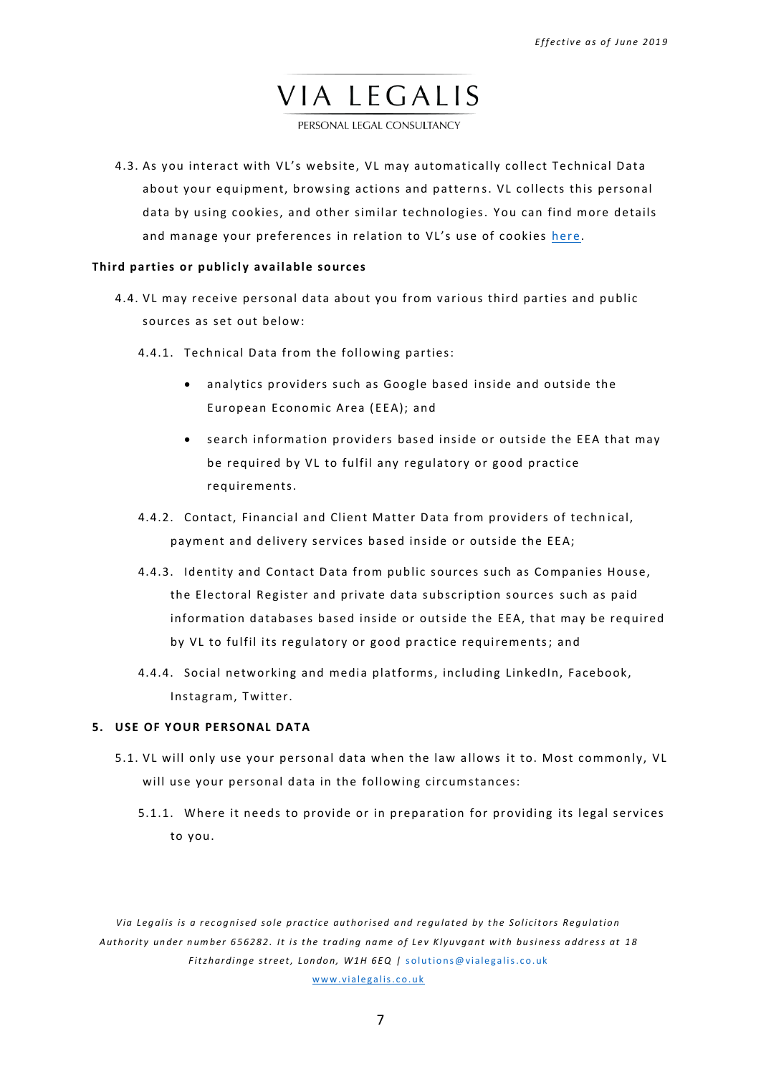PERSONAL LEGAL CONSULTANCY

4.3. As you interact with VL's website, VL may automatically collect Technical Data about your equipment, browsing actions and patterns. VL collects this personal data by using cookies, and other similar technologies. You can find more details and manage your preferences in relation to VL's use of cookies [here.](https://www.vialegalis.co.uk/cookie-policy?lang=ru)

## **Third parties or publicly available sources**

- 4.4. VL may receive personal data about you from various third parties and public sources as set out below:
	- 4.4.1. Technical Data from the following parties:
		- analytics providers such as Google based inside and outside the European Economic Area ( EEA); and
		- search information providers based inside or outside the EEA that may be required by VL to fulfil any regulatory or good practice requirements.
	- 4.4.2. Contact, Financial and Client Matter Data from providers of technical, payment and delivery services based inside or outside the EEA;
	- 4.4.3. Identity and Contact Data from public sources such as Companies House, the Electoral Register and private data subscription sources such as paid information databases based inside or outside the EEA, that may be required by VL to fulfil its regulatory or good practice requirements; and
	- 4.4.4. Social networking and media platforms, including LinkedIn, Facebook, Instagram, Twitter.

## <span id="page-6-0"></span>**5. USE OF YOUR PERSONAL DATA**

- 5.1. VL will only use your personal data when the law allows it to. Most commonly, VL will use your personal data in the following circumstances:
	- 5.1.1. Where it needs to provide or in preparation for providing its legal services to you.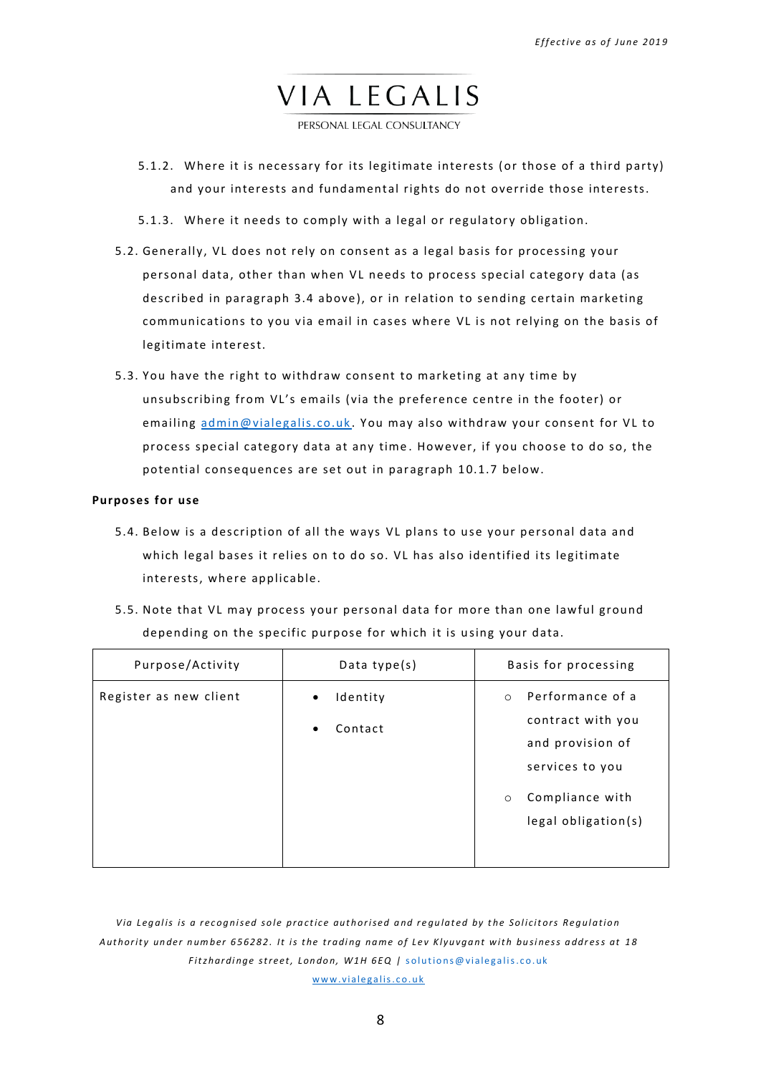PERSONAL LEGAL CONSULTANCY

- 5.1.2. Where it is necessary for its legitimate interests (or those of a third party) and your interests and fundamental rights do not override those interests.
- 5.1.3. Where it needs to comply with a legal or regulatory obligation.
- 5.2. Generally, VL does not rely on consent as a legal basis for processing your personal data, other than when VL needs to process special category data (as described in paragraph [3.4](#page-4-0) above), or in relation to sending certain marketing communications to you via email in cases where VL is not relying on the basis of legitimate in terest.
- 5.3. You have the right to withdraw consent to marketing at any time by unsubscribing from VL's emails (via the preference centre in the footer) or emailing [admin@vialegalis.co.uk](mailto:admin@vialegalis.co.uk). You may also withdraw your consent for VL to process special category data at any time . However, if you choose to do so, the potential consequences are set out in paragraph 10.1.7 below.

#### **Purposes for use**

- 5.4. Below is a description of all the ways VL plans to use your personal data and which legal bases it relies on to do so. VL has also identified its legitimate interests, where applicable.
- 5.5. Note that VL may process your personal data for more than one lawful ground depending on the specific purpose for which it is using your data.

| Purpose/Activity       | Data type $(s)$                               | Basis for processing                                                                                                                         |
|------------------------|-----------------------------------------------|----------------------------------------------------------------------------------------------------------------------------------------------|
| Register as new client | Identity<br>$\bullet$<br>Contact<br>$\bullet$ | Performance of a<br>$\circ$<br>contract with you<br>and provision of<br>services to you<br>Compliance with<br>$\circ$<br>legal obligation(s) |

Via Legalis is a recognised sole practice authorised and regulated by the Solicitors Regulation Authority under number 656282. It is the trading name of Lev Klyuvgant with business address at 18 *Fitzhardinge street, London, W1H 6EQ | solutions@vialegalis.co.uk* www.vialegalis.co.uk

8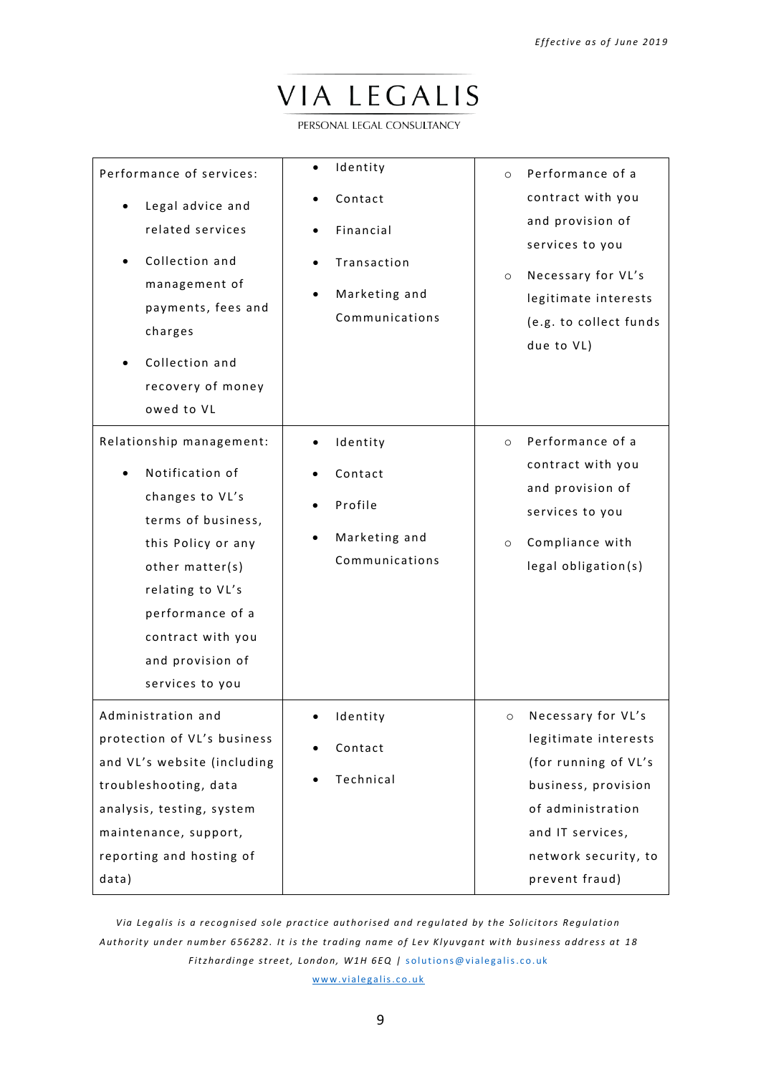PERSONAL LEGAL CONSULTANCY

| Performance of services:<br>Legal advice and<br>related services<br>Collection and<br>management of<br>payments, fees and<br>charges<br>Collection and<br>recovery of money<br>owed to VL                                         | Identity<br>Contact<br>Financial<br>Transaction<br>Marketing and<br>Communications | Performance of a<br>$\circ$<br>contract with you<br>and provision of<br>services to you<br>Necessary for VL's<br>$\circ$<br>legitimate interests<br>(e.g. to collect funds<br>due to VL) |
|-----------------------------------------------------------------------------------------------------------------------------------------------------------------------------------------------------------------------------------|------------------------------------------------------------------------------------|------------------------------------------------------------------------------------------------------------------------------------------------------------------------------------------|
| Relationship management:<br>Notification of<br>changes to VL's<br>terms of business,<br>this Policy or any<br>other matter(s)<br>relating to VL's<br>performance of a<br>contract with you<br>and provision of<br>services to you | Identity<br>Contact<br>Profile<br>Marketing and<br>Communications                  | Performance of a<br>$\circ$<br>contract with you<br>and provision of<br>services to you<br>Compliance with<br>$\circ$<br>legal obligation(s)                                             |
| Administration and<br>protection of VL's business<br>and VL's website (including<br>troubleshooting, data<br>analysis, testing, system<br>maintenance, support,<br>reporting and hosting of<br>data)                              | Identity<br>Contact<br>Technical                                                   | Necessary for VL's<br>$\circ$<br>legitimate interests<br>(for running of VL's<br>business, provision<br>of administration<br>and IT services,<br>network security, to<br>prevent fraud)  |

*Via Legalis is a recognised sole practice authorised and regulated by the Solicitors Regulation Aut hor i t y un de r n um be r 6 5 6 2 8 2 . I t i s t he t r adi ng na m e of Le v K l y u v ga nt w i t h bu si ne s s a ddr e s s at 1 8 Fitzhardinge street, London, W1H 6EQ | solutions@vialegalis.co.uk* www.vialegalis.co.uk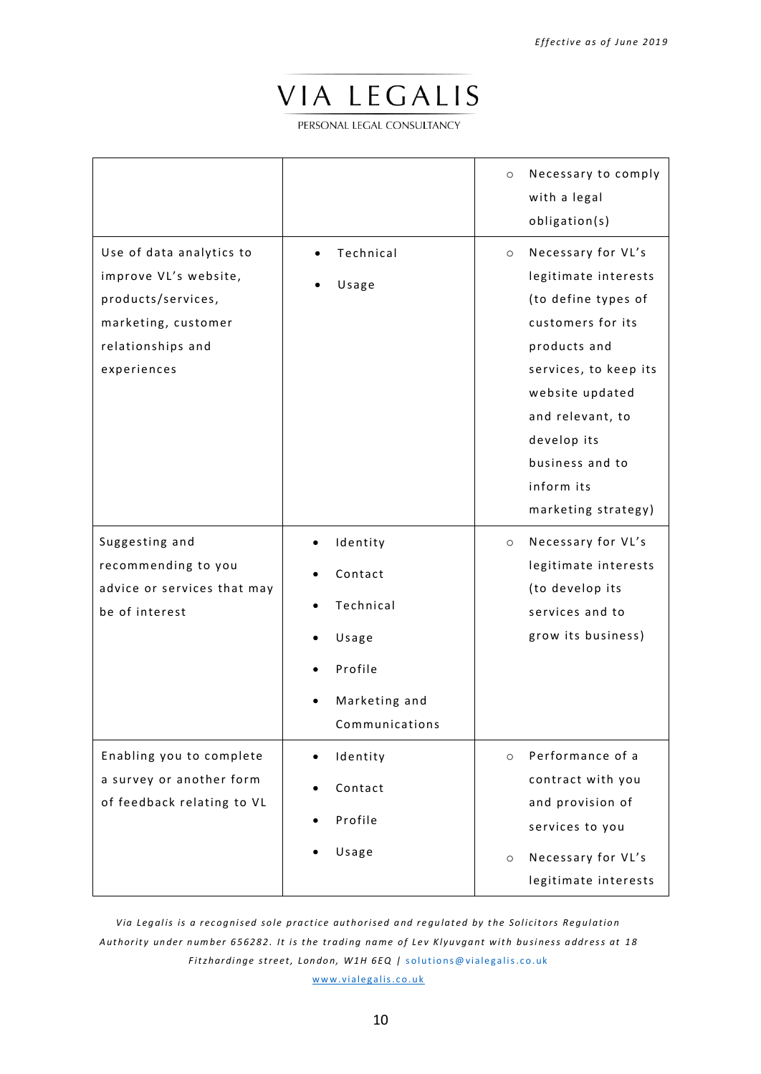PERSONAL LEGAL CONSULTANCY

|                                                                                                                                    |                                                                                         | Necessary to comply<br>$\circ$<br>with a legal<br>obligation(s)                                                                                                                                                                                          |
|------------------------------------------------------------------------------------------------------------------------------------|-----------------------------------------------------------------------------------------|----------------------------------------------------------------------------------------------------------------------------------------------------------------------------------------------------------------------------------------------------------|
| Use of data analytics to<br>improve VL's website,<br>products/services,<br>marketing, customer<br>relationships and<br>experiences | Technical<br>Usage                                                                      | Necessary for VL's<br>$\circ$<br>legitimate interests<br>(to define types of<br>customers for its<br>products and<br>services, to keep its<br>website updated<br>and relevant, to<br>develop its<br>business and to<br>inform its<br>marketing strategy) |
| Suggesting and<br>recommending to you<br>advice or services that may<br>be of interest                                             | Identity<br>Contact<br>Technical<br>Usage<br>Profile<br>Marketing and<br>Communications | Necessary for VL's<br>$\circ$<br>legitimate interests<br>(to develop its<br>services and to<br>grow its business)                                                                                                                                        |
| Enabling you to complete<br>a survey or another form<br>of feedback relating to VL                                                 | Identity<br>Contact<br>Profile<br>Usage                                                 | Performance of a<br>$\circ$<br>contract with you<br>and provision of<br>services to you<br>Necessary for VL's<br>$\circ$<br>legitimate interests                                                                                                         |

*Via Legalis is a recognised sole practice authorised and regulated by the Solicitors Regulation Aut hor i t y un de r n um be r 6 5 6 2 8 2 . I t i s t he t r adi ng na m e of Le v K l y u v ga nt w i t h bu si ne s s a ddr e s s at 1 8 Fitzhardinge street, London, W1H 6EQ | solutions@vialegalis.co.uk* www.vialegalis.co.uk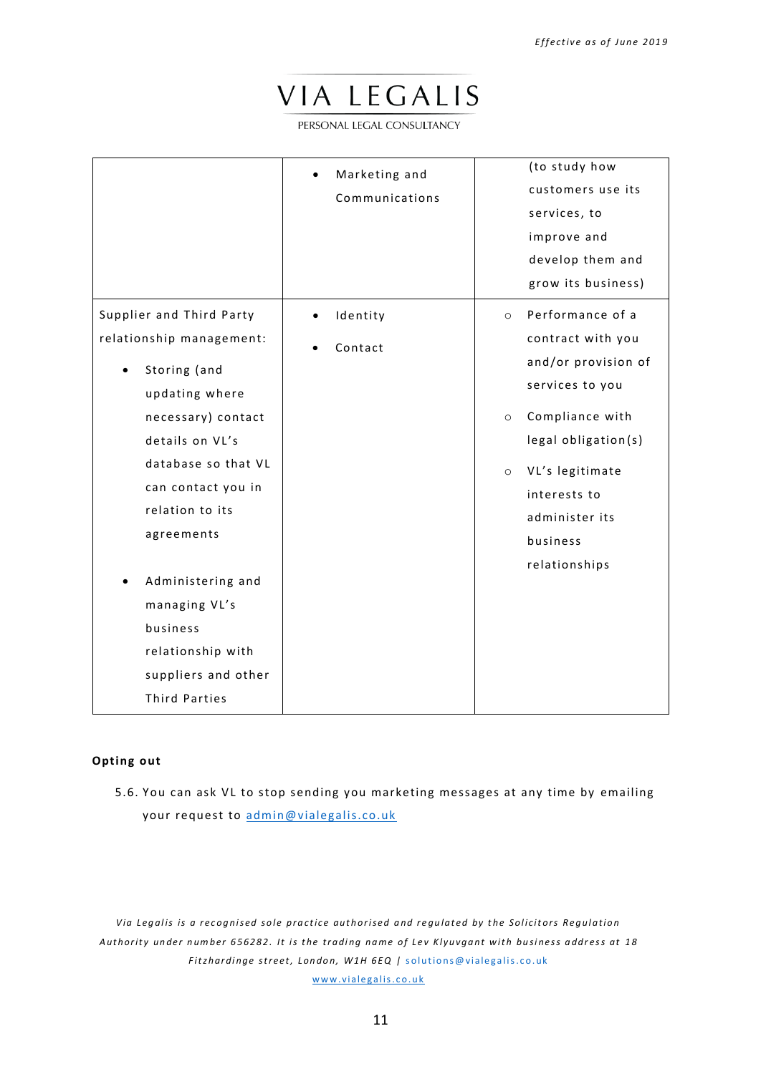PERSONAL LEGAL CONSULTANCY

|                          | Marketing and<br>Communications | (to study how<br>customers use its<br>services, to<br>improve and<br>develop them and<br>grow its business) |
|--------------------------|---------------------------------|-------------------------------------------------------------------------------------------------------------|
| Supplier and Third Party | Identity                        | Performance of a<br>$\circ$                                                                                 |
| relationship management: | Contact                         | contract with you                                                                                           |
| Storing (and             |                                 | and/or provision of                                                                                         |
| updating where           |                                 | services to you                                                                                             |
| necessary) contact       |                                 | Compliance with<br>$\circ$                                                                                  |
| details on VL's          |                                 | legal obligation(s)                                                                                         |
| database so that VL      |                                 | VL's legitimate<br>$\circ$                                                                                  |
| can contact you in       |                                 | interests to                                                                                                |
| relation to its          |                                 | administer its                                                                                              |
| agreements               |                                 | business                                                                                                    |
|                          |                                 | relationships                                                                                               |
| Administering and        |                                 |                                                                                                             |
| managing VL's            |                                 |                                                                                                             |
| business                 |                                 |                                                                                                             |
| relationship with        |                                 |                                                                                                             |
| suppliers and other      |                                 |                                                                                                             |
| <b>Third Parties</b>     |                                 |                                                                                                             |

## **Opting out**

5.6. You can ask VL to stop sending you marketing messages at any time by emailing your request to admin@vialegalis.co.uk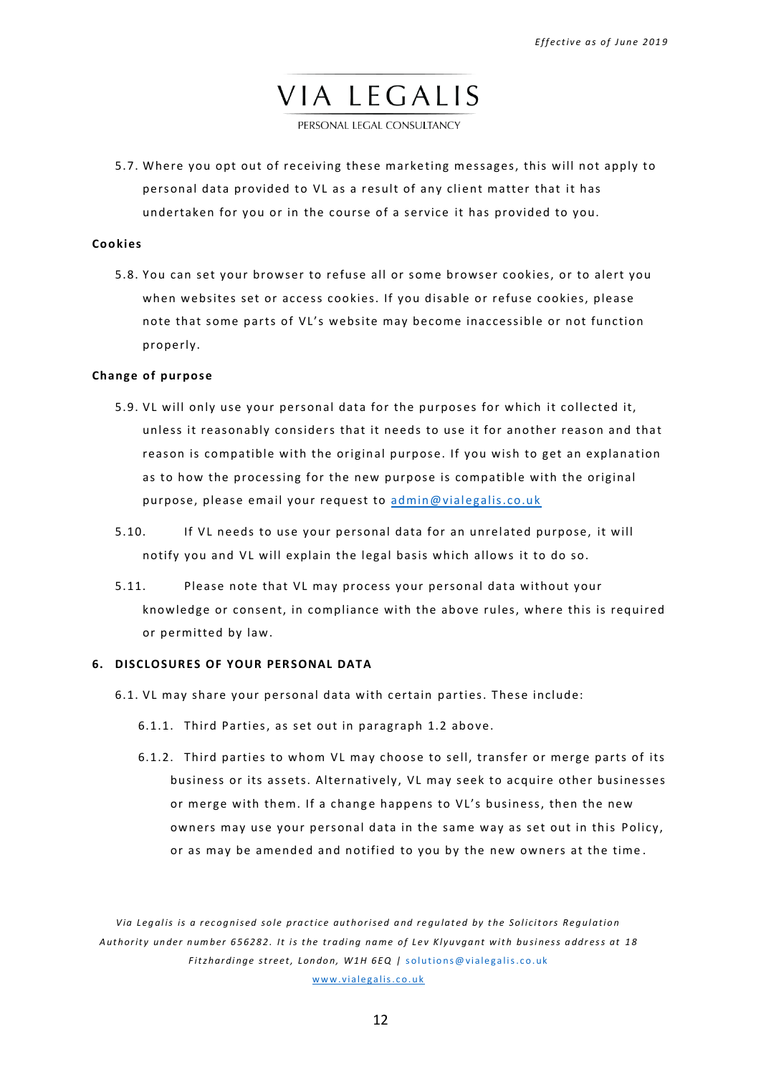PERSONAL LEGAL CONSULTANCY

5.7. Where you opt out of receiving these marketing messages, this will not apply to personal data provided to VL as a result of any client matter that it has undertaken for you or in the course of a service it has provided to you.

## **Cookies**

5.8. You can set your browser to refuse all or some browser cookies, or to alert you when websites set or access cookies. If you disable or refuse cookies, please note that some parts of VL's website may become inaccessible or not function properly.

## **Change of pur pose**

- 5.9. VL will only use your personal data for the purposes for which it collected it, unless it reasonably considers that it needs to use it for another reason and that reason is compatible with the original purpose. If you wish to get an explanation as to how the processing for the new purpose is compatible with the original purpose, please email your request to admin@vialegalis.co.uk
- 5.10. If VL needs to use your personal data for an unrelated purpose, it will notify you and VL will explain the legal basis which allows it to do so.
- 5.11. Please note that VL may process your personal data without your knowledge or consent, in compliance with the abo ve rules, where this is required or permitted by law.

## <span id="page-11-0"></span>**6. DISCLOSURES OF YOUR PERSONAL DATA**

- 6.1. VL may share your personal data with certain parties. These include:
	- 6.1.1. Third Parties, as set out in paragraph [1.2](#page-1-1) above.
	- 6.1.2. Third parties to whom VL may choose to sell, transfer or merge parts of its business or its assets. Alternatively, VL may seek to acquire other businesses or merge with them. If a change happens to VL's business, then the new owners may use your personal data in the same way as set out in this Policy, or as may be amended and notified to you by the new owners at the time .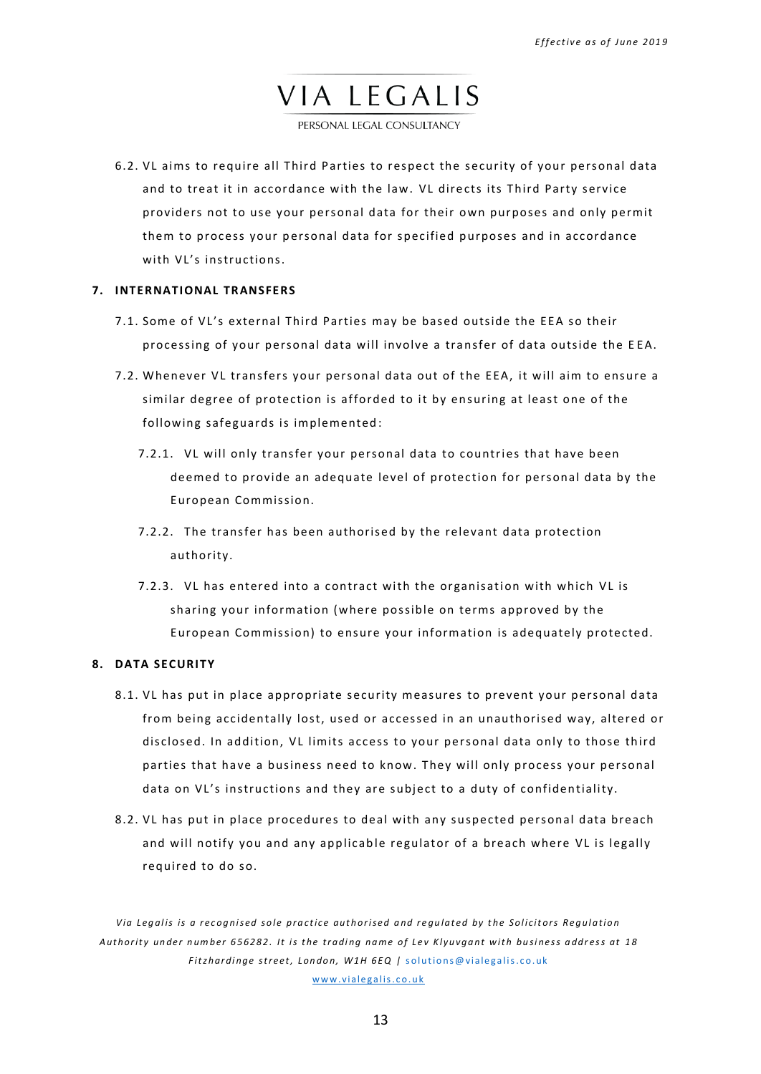PERSONAL LEGAL CONSULTANCY

6.2. VL aims to require all Third Parties to respect the security of your personal data and to treat it in accordance with the law. VL directs its Third Party service providers not to use your personal data for their own purposes and only permit them to process your personal data for specified purposes and in accordance with VL's instructions.

#### <span id="page-12-0"></span>**7. INTERNATIONAL TRANSFERS**

- 7.1. Some of VL's external Third Parties may be based outside the EEA so their processing of your personal data will involve a transfer of data outside the EEA.
- 7.2. Whenever VL transfers your personal data out of the EEA, it will aim to ensure a similar degree of protection is afforded to it by ensuring at least one of the following safeguards is implemented :
	- 7.2.1. VL will only transfer your personal data to countries that have been deemed to provide an adequate level of protection for personal data by the European Commission.
	- 7.2.2. The transfer has been authorised by the relevant data protection authority.
	- 7.2.3. VL has entered into a contract with the organisation with which VL is sharing your information (where possible on terms approved by the European Commission) to ensure your information is adequately protected.

## <span id="page-12-1"></span>**8. DATA SECURITY**

- 8.1. VL has put in place appropriate security measures to prevent your personal data from being accidentally lost, used or accessed in an unauthorised way, altered or disclosed. In addition, VL limits access to your personal data only to those third parties that have a business need to know. They will only process your personal data on VL's instructions and they are subject to a duty of confidentiality.
- 8.2. VL has put in place procedures to deal with any suspected personal data breach and will notify you and any applicable regulator of a breach where VL is legally required to do so.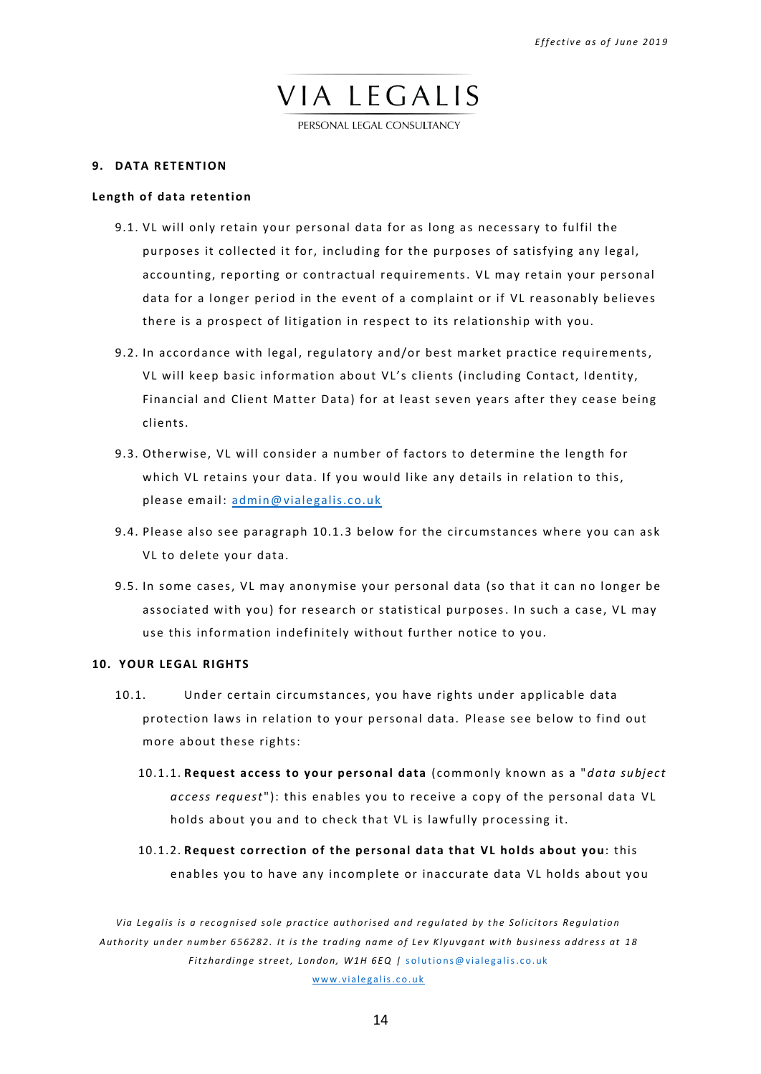PERSONAL LEGAL CONSULTANCY

### <span id="page-13-0"></span>**9. DATA RETENTION**

## **Length of data retention**

- 9.1. VL will only retain your personal data for as long as necessary to fulfil the purposes it collected it for, including for the purposes of satisfying any legal, accounting, reporting or contractual requirements. VL may retain your personal data for a longer period in the event of a complaint or if VL reasonably believes there is a prospect of litigation in respect to its relationship with you.
- 9.2. In accordance with legal, regulatory a nd/or best m arket practice requirements, VL will keep basic information about VL's clients (including Contact, Identity, Financial and Client Matter Data) for at least seven years after they cease being clients.
- 9.3. Otherwise, VL will consider a number of factors to determine the length for which VL retains your data. If you would like any details in relation to this, please email: [admin@vialegalis.co.uk](mailto:admin@vialegalis.co.uk)
- 9.4. Please also see paragraph 10.1.3 below for the circumstances where you can ask VL to delete your data.
- 9.5. In some cases, VL may anonymise your personal data (so that it can no longer be associated with you) for research or statistical purposes. In such a case, VL may use this information indefinitely without further notice to you.

## <span id="page-13-1"></span>**10. YOUR LEGAL RIGHTS**

- 10.1. Under certain circumstances, you have rights under applicable data protection laws in relation to your personal data. Please see below to find out more about these rights:
	- 10.1.1. **Request access to your personal data** (commonly known as a "*data subject access request*"): this enables you to receive a copy of the personal data VL holds about you and to check that VL is lawfully processing it.
	- 10.1.2. **Request correction of the personal data that VL holds about you**: this enables you to have any incomplete or inaccurate data VL holds about you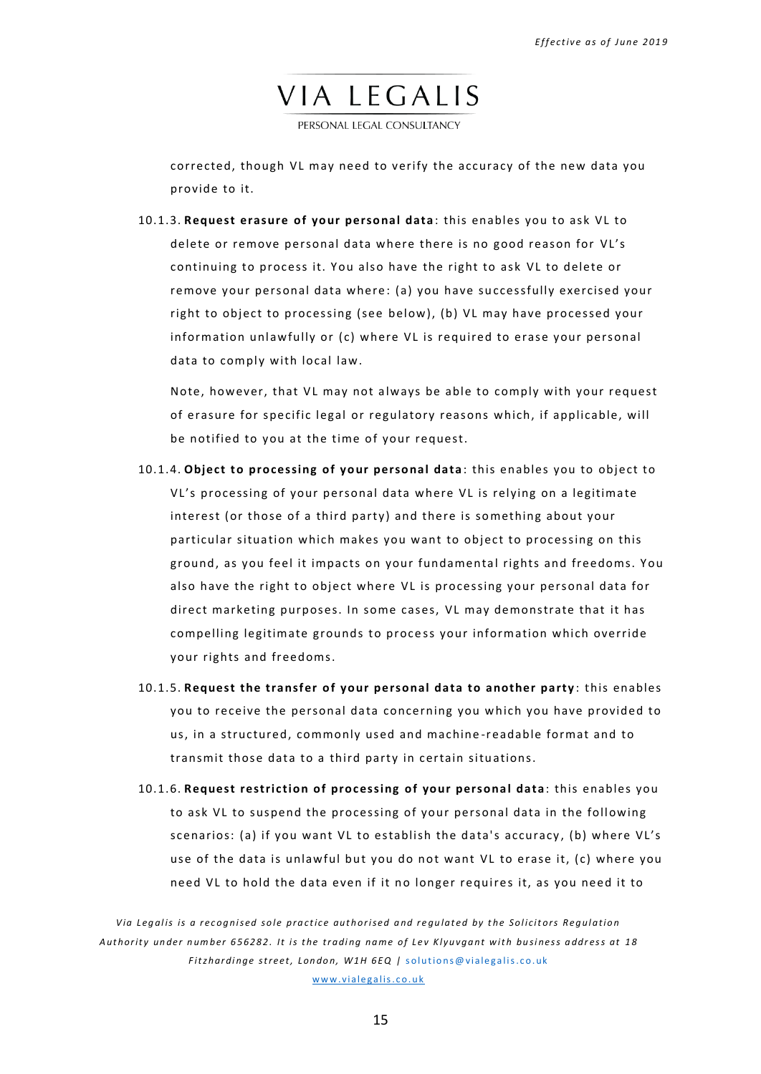PERSONAL LEGAL CONSULTANCY

corrected, though VL may need to verify the accuracy of the new data you provide to it.

<span id="page-14-0"></span>10.1.3. **Request erasure of your personal data** : this enables you to ask VL to delete or remove personal data where there is no good reason for VL's continuing to process it. You also have the right to ask VL to delete or remove your personal data where: (a) you have successfully exercised your right to object to processing (see below), (b) VL may have processed your information unlawfully or (c) where VL is required to erase your personal data to comply with local law.

Note, however, that VL may not always be able to comply with your request of erasure for specific legal or regulatory reasons which, if applicable, will be notified to you at the time of your request.

- 10.1.4. **Object to processing of your personal data** : this enables you to object to VL's processing of your personal data where VL is relying on a legitima te interest (or those of a third party) and there is something about your particular situation which makes you want to object to processing on this ground, as you feel it impacts on your fundamental rights and freedoms. You also have the right to object where VL is processing your personal data for direct marketing purposes. In some cases, VL may demonstrate that it has compelling legitimate grounds to process your information which override your rights and freedoms.
- 10.1.5. **Request the transfer of your pe rsonal data to another party** : this enables you to receive the personal data concerning you which you have provided to us, in a structured, commonly used and machine -r eadable format and to transmit those data to a third party in certain situations.
- 10.1.6. **Request restriction of processing of your persona l data** : this enables you to ask VL to suspend the processing of your personal data in the following scenarios: (a) if you want VL to establish the data's accuracy, (b) where VL's use of the data is unlawful but you do not want VL to erase it, (c) where you need VL to hold the data even if it no longer requires it, as you need it to

*V i a Le g al i s i s a r e c og ni se d so l e pr a c t i c e aut h or i se d a nd r e gu l at e d by t he Sol i c i t or s Re g ul at i o n* Authority under number 656282. It is the trading name of Lev Klyuvgant with business address at 18 *Fitzhardinge street, London, W1H 6EQ | solutions@vialegalis.co.uk* www.vialegalis.co.uk

15